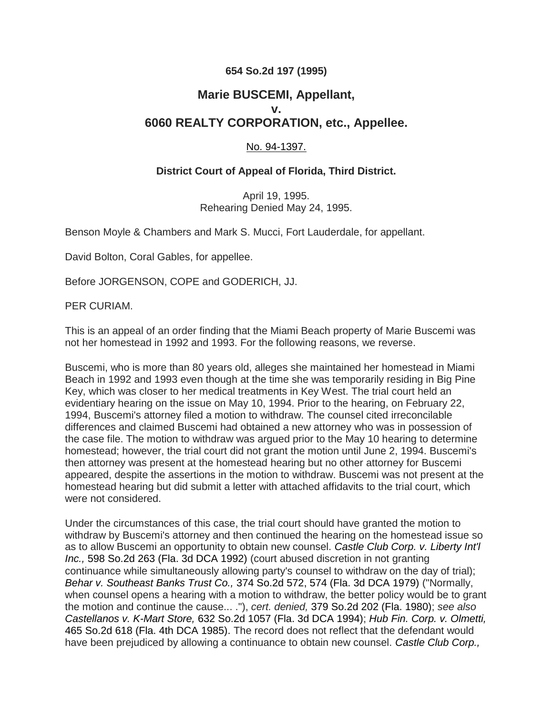## **654 So.2d 197 (1995)**

## **Marie BUSCEMI, Appellant, v. 6060 REALTY CORPORATION, etc., Appellee.**

## No. 94-1397.

## **District Court of Appeal of Florida, Third District.**

April 19, 1995. Rehearing Denied May 24, 1995.

Benson Moyle & Chambers and Mark S. Mucci, Fort Lauderdale, for appellant.

David Bolton, Coral Gables, for appellee.

Before JORGENSON, COPE and GODERICH, JJ.

PER CURIAM.

This is an appeal of an order finding that the Miami Beach property of Marie Buscemi was not her homestead in 1992 and 1993. For the following reasons, we reverse.

Buscemi, who is more than 80 years old, alleges she maintained her homestead in Miami Beach in 1992 and 1993 even though at the time she was temporarily residing in Big Pine Key, which was closer to her medical treatments in Key West. The trial court held an evidentiary hearing on the issue on May 10, 1994. Prior to the hearing, on February 22, 1994, Buscemi's attorney filed a motion to withdraw. The counsel cited irreconcilable differences and claimed Buscemi had obtained a new attorney who was in possession of the case file. The motion to withdraw was argued prior to the May 10 hearing to determine homestead; however, the trial court did not grant the motion until June 2, 1994. Buscemi's then attorney was present at the homestead hearing but no other attorney for Buscemi appeared, despite the assertions in the motion to withdraw. Buscemi was not present at the homestead hearing but did submit a letter with attached affidavits to the trial court, which were not considered.

Under the circumstances of this case, the trial court should have granted the motion to withdraw by Buscemi's attorney and then continued the hearing on the homestead issue so as to allow Buscemi an opportunity to obtain new counsel. *[Castle Club Corp. v. Liberty Int'l](http://scholar.google.com/scholar_case?case=5210617151593018758&q=654+So.2d+197&hl=en&as_sdt=40006&scilh=0)  Inc.,* [598 So.2d 263 \(Fla. 3d DCA 1992\)](http://scholar.google.com/scholar_case?case=5210617151593018758&q=654+So.2d+197&hl=en&as_sdt=40006&scilh=0) (court abused discretion in not granting continuance while simultaneously allowing party's counsel to withdraw on the day of trial); *Behar v. Southeast Banks Trust Co.,* 374 So.2d 572, 574 (Fla. 3d DCA 1979) ("Normally, when counsel opens a hearing with a motion to withdraw, the better policy would be to grant the motion and continue the cause... ."), *cert. denied,* 379 So.2d 202 (Fla. 1980); *see also Castellanos v. K-Mart Store,* 632 So.2d 1057 (Fla. 3d DCA 1994); *Hub Fin. Corp. v. Olmetti,* 465 So.2d 618 (Fla. 4th DCA 1985). The record does not reflect that the defendant would have been prejudiced by allowing a continuance to obtain new counsel. *Castle Club Corp.,*